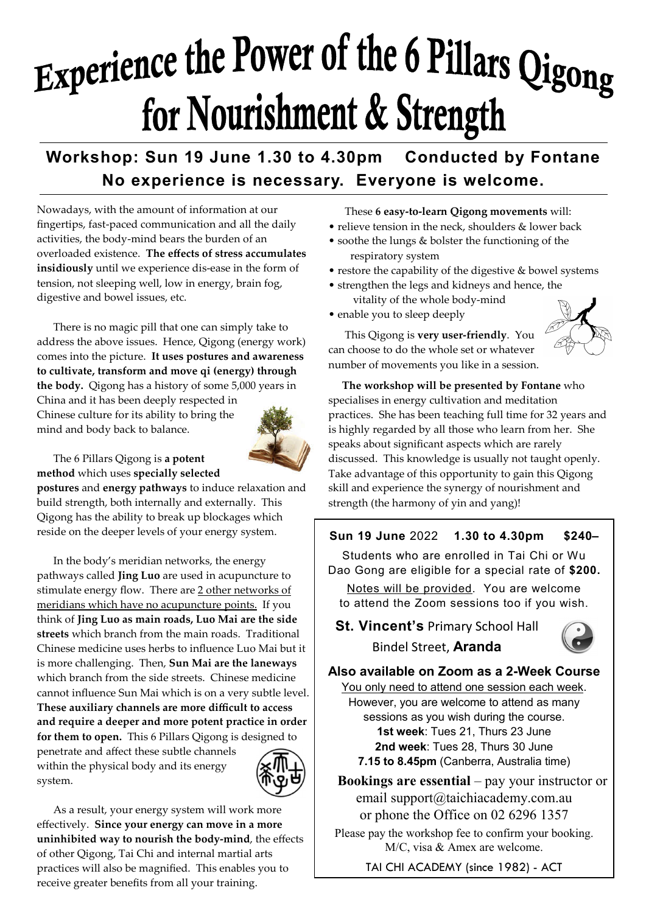# Experience the Power of the 6 Pillars Qigong for Nourishment & Strength

# **Workshop: Sun 19 June 1.30 to 4.30pm Conducted by Fontane No experience is necessary. Everyone is welcome.**

Nowadays, with the amount of information at our fingertips, fast-paced communication and all the daily activities, the body-mind bears the burden of an overloaded existence. **The effects of stress accumulates insidiously** until we experience dis-ease in the form of tension, not sleeping well, low in energy, brain fog, digestive and bowel issues, etc.

 There is no magic pill that one can simply take to address the above issues. Hence, Qigong (energy work) comes into the picture. **It uses postures and awareness to cultivate, transform and move qi (energy) through the body.** Qigong has a history of some 5,000 years in

China and it has been deeply respected in Chinese culture for its ability to bring the mind and body back to balance.



#### The 6 Pillars Qigong is **a potent method** which uses **specially selected**

**postures** and **energy pathways** to induce relaxation and build strength, both internally and externally. This Qigong has the ability to break up blockages which reside on the deeper levels of your energy system.

 In the body's meridian networks, the energy pathways called **Jing Luo** are used in acupuncture to stimulate energy flow. There are 2 other networks of meridians which have no acupuncture points. If you think of **Jing Luo as main roads, Luo Mai are the side streets** which branch from the main roads. Traditional Chinese medicine uses herbs to influence Luo Mai but it is more challenging. Then, **Sun Mai are the laneways**  which branch from the side streets. Chinese medicine cannot influence Sun Mai which is on a very subtle level. **These auxiliary channels are more difficult to access and require a deeper and more potent practice in order for them to open.** This 6 Pillars Qigong is designed to

penetrate and affect these subtle channels within the physical body and its energy system.



 As a result, your energy system will work more effectively. **Since your energy can move in a more uninhibited way to nourish the body-mind**, the effects of other Qigong, Tai Chi and internal martial arts practices will also be magnified. This enables you to receive greater benefits from all your training.

These **6 easy-to-learn Qigong movements** will:

- relieve tension in the neck, shoulders & lower back
- soothe the lungs & bolster the functioning of the respiratory system
- restore the capability of the digestive & bowel systems
- strengthen the legs and kidneys and hence, the vitality of the whole body-mind

 This Qigong is **very user-friendly**. You can choose to do the whole set or whatever

• enable you to sleep deeply

number of movements you like in a session.

 **The workshop will be presented by Fontane** who specialises in energy cultivation and meditation practices. She has been teaching full time for 32 years and is highly regarded by all those who learn from her. She speaks about significant aspects which are rarely discussed. This knowledge is usually not taught openly. Take advantage of this opportunity to gain this Qigong skill and experience the synergy of nourishment and strength (the harmony of yin and yang)!

#### **Sun 19 June** 2022 **1.30 to 4.30pm \$240–**

Students who are enrolled in Tai Chi or Wu Dao Gong are eligible for a special rate of **\$200.**

Notes will be provided. You are welcome to attend the Zoom sessions too if you wish.

**St. Vincent's** Primary School Hall Bindel Street, **Aranda**



#### **Also available on Zoom as a 2-Week Course**

You only need to attend one session each week. However, you are welcome to attend as many sessions as you wish during the course. **1st week**: Tues 21, Thurs 23 June **2nd week**: Tues 28, Thurs 30 June **7.15 to 8.45pm** (Canberra, Australia time)

 **Bookings are essential** – pay your instructor or email support@taichiacademy.com.au or phone the Office on 02 6296 1357

Please pay the workshop fee to confirm your booking. M/C, visa & Amex are welcome.

TAI CHI ACADEMY (since 1982) - ACT